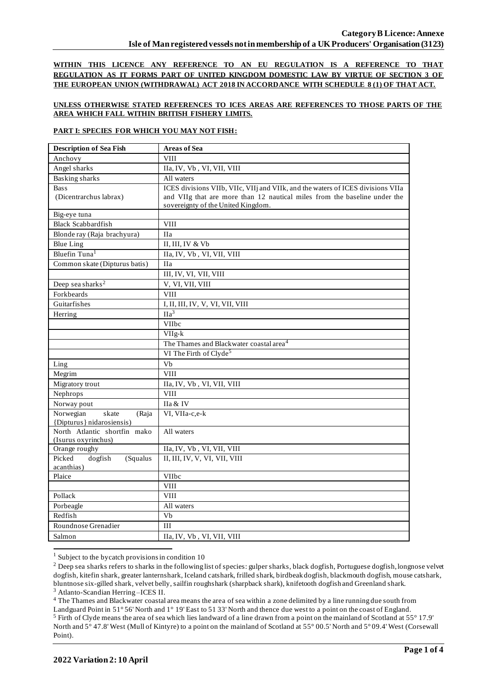**WITHIN THIS LICENCE ANY REFERENCE TO AN EU REGULATION IS A REFERENCE TO THAT REGULATION AS IT FORMS PART OF UNITED KINGDOM DOMESTIC LAW BY VIRTUE OF SECTION 3 OF THE EUROPEAN UNION (WITHDRAWAL) ACT 2018 IN ACCORDANCE WITH SCHEDULE 8 (1) OF THAT ACT.**

### **UNLESS OTHERWISE STATED REFERENCES TO ICES AREAS ARE REFERENCES TO THOSE PARTS OF THE AREA WHICH FALL WITHIN BRITISH FISHERY LIMITS.**

#### **PART I: SPECIES FOR WHICH YOU MAY NOT FISH:**

| <b>Description of Sea Fish</b> | <b>Areas of Sea</b>                                                             |
|--------------------------------|---------------------------------------------------------------------------------|
| Anchovy                        | <b>VIII</b>                                                                     |
| Angel sharks                   | IIa, IV, Vb, VI, VII, VIII                                                      |
| <b>Basking sharks</b>          | All waters                                                                      |
| <b>Bass</b>                    | ICES divisions VIIb, VIIc, VIIj and VIIk, and the waters of ICES divisions VIIa |
| (Dicentrarchus labrax)         | and VIIg that are more than 12 nautical miles from the baseline under the       |
|                                | sovereignty of the United Kingdom.                                              |
| Big-eye tuna                   |                                                                                 |
| <b>Black Scabbardfish</b>      | <b>VIII</b>                                                                     |
| Blonde ray (Raja brachyura)    | <b>IIa</b>                                                                      |
| <b>Blue Ling</b>               | II, III, IV & Vb                                                                |
| Bluefin Tuna <sup>1</sup>      | IIa, IV, Vb, VI, VII, VIII                                                      |
| Common skate (Dipturus batis)  | <b>IIa</b>                                                                      |
|                                | III, IV, VI, VII, VIII                                                          |
| Deep sea sharks <sup>2</sup>   | V, VI, VII, VIII                                                                |
| Forkbeards                     | <b>VIII</b>                                                                     |
| Guitarfishes                   | I, II, III, IV, V, VI, VII, VIII                                                |
| Herring                        | $\overline{\text{IIa}^3}$                                                       |
|                                | VIIbc                                                                           |
|                                | VIIg-k                                                                          |
|                                | The Thames and Blackwater coastal area <sup>4</sup>                             |
|                                | VI The Firth of Clyde <sup>5</sup>                                              |
| Ling                           | Vb                                                                              |
| Megrim                         | <b>VIII</b>                                                                     |
| Migratory trout                | IIa, IV, Vb, VI, VII, VIII                                                      |
| Nephrops                       | <b>VIII</b>                                                                     |
| Norway pout                    | IIa & IV                                                                        |
| Norwegian<br>skate<br>(Raja    | VI, VIIa-c,e-k                                                                  |
| {Dipturus} nidarosiensis}      |                                                                                 |
| North Atlantic shortfin mako   | All waters                                                                      |
| (Isurus oxyrinchus)            |                                                                                 |
| Orange roughy                  | IIa, IV, Vb, VI, VII, VIII                                                      |
| Picked<br>dogfish<br>(Squalus  | II, III, IV, V, VI, VII, VIII                                                   |
| acanthias)<br>Plaice           | VIIbc                                                                           |
|                                | <b>VIII</b>                                                                     |
| Pollack                        | <b>VIII</b>                                                                     |
| Porbeagle                      | All waters                                                                      |
| Redfish                        | $\overline{Vb}$                                                                 |
| Roundnose Grenadier            | III                                                                             |
|                                |                                                                                 |
| Salmon                         | IIa, IV, Vb, VI, VII, VIII                                                      |

 $1$  Subject to the bycatch provisions in condition 10

<sup>4</sup> The Thames and Blackwater coastal area means the area of sea within a zone delimited by a line running due south from

<sup>&</sup>lt;sup>2</sup> Deep sea sharks refers to sharks in the following list of species: gulper sharks, black dogfish, Portuguese dogfish, longnose velvet dogfish, kitefin shark, greater lanternshark, Iceland catshark, frilled shark, birdbeak dogfish, blackmouth dogfish, mouse catshark, bluntnose six-gilled shark, velvet belly, sailfin roughshark (sharpback shark), knifetooth dogfish and Greenland shark. <sup>3</sup> Atlanto-Scandian Herring –ICES II.

Landguard Point in 51° 56' North and 1° 19' East to 51 33' North and thence due west to a point on the coast of England. <sup>5</sup> Firth of Clyde means the area of sea which lies landward of a line drawn from a point on the mainland of Scotland at 55° 17.9' North and 5° 47.8' West (Mull of Kintyre) to a point on the mainland of Scotland at 55° 00.5' North and 5° 09.4' West (Corsewall Point).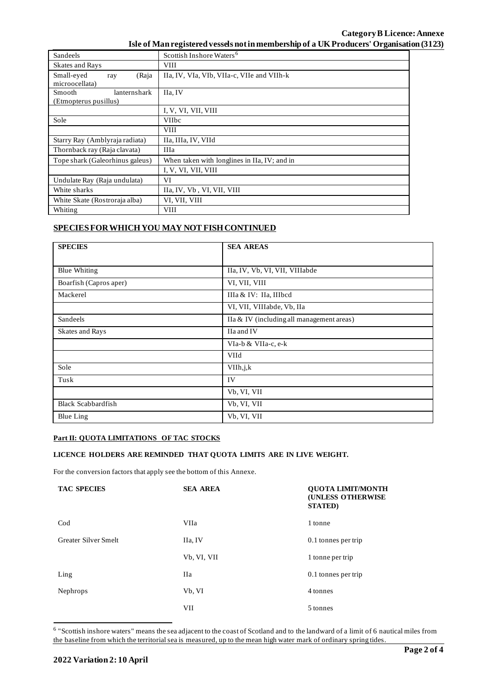## **Category B Licence: Annexe Isle of Man registered vessels not in membership of a UK Producers' Organisation (3123)**

| Sandeels                                        | Scottish Inshore Waters <sup>6</sup>         |  |  |
|-------------------------------------------------|----------------------------------------------|--|--|
| Skates and Rays                                 | <b>VIII</b>                                  |  |  |
| Small-eyed<br>(Raja<br>ray<br>microocellata)    | IIa, IV, VIa, VIb, VIIa-c, VIIe and VIIh-k   |  |  |
| Smooth<br>lanternshark<br>(Etmopterus pusillus) | IIa, IV                                      |  |  |
|                                                 | I, V, VI, VII, VIII                          |  |  |
| Sole                                            | VIIbc                                        |  |  |
|                                                 | <b>VIII</b>                                  |  |  |
| Starry Ray (Amblyraja radiata)                  | IIa, IIIa, IV, VIId                          |  |  |
| Thornback ray (Raja clavata)                    | <b>IIIa</b>                                  |  |  |
| Tope shark (Galeorhinus galeus)                 | When taken with longlines in IIa, IV; and in |  |  |
|                                                 | I, V, VI, VII, VIII                          |  |  |
| Undulate Ray (Raja undulata)                    | VI                                           |  |  |
| White sharks                                    | IIa, IV, Vb, VI, VII, VIII                   |  |  |
| White Skate (Rostroraja alba)                   | VI, VII, VIII                                |  |  |
| Whiting                                         | <b>VIII</b>                                  |  |  |

# **SPECIES FOR WHICH YOU MAY NOT FISH CONTINUED**

| <b>SPECIES</b>            | <b>SEA AREAS</b>                          |
|---------------------------|-------------------------------------------|
|                           |                                           |
| <b>Blue Whiting</b>       | IIa, IV, Vb, VI, VII, VIIIabde            |
| Boarfish (Capros aper)    | VI, VII, VIII                             |
| Mackerel                  | IIIa & IV: IIa, IIIbcd                    |
|                           | VI, VII, VIIIabde, Vb, IIa                |
| Sandeels                  | IIa & IV (including all management areas) |
| Skates and Rays           | IIa and IV                                |
|                           | VIa-b & VIIa-c, e-k                       |
|                           | VIId                                      |
| Sole                      | VIIh, j, k                                |
| Tusk                      | IV                                        |
|                           | Vb, VI, VII                               |
| <b>Black Scabbardfish</b> | Vb, VI, VII                               |
| <b>Blue Ling</b>          | Vb, VI, VII                               |

### **Part II: QUOTA LIMITATIONS OF TAC STOCKS**

#### **LICENCE HOLDERS ARE REMINDED THAT QUOTA LIMITS ARE IN LIVE WEIGHT.**

For the conversion factors that apply see the bottom of this Annexe.

| <b>TAC SPECIES</b>   | <b>SEA AREA</b> | <b>QUOTA LIMIT/MONTH</b><br><b>(UNLESS OTHERWISE</b><br><b>STATED</b> ) |
|----------------------|-----------------|-------------------------------------------------------------------------|
| $\rm Cod$            | VIIa            | 1 tonne                                                                 |
| Greater Silver Smelt | IIa, IV         | 0.1 tonnes per trip                                                     |
|                      | Vb, VI, VII     | 1 tonne per trip                                                        |
| Ling                 | Ha              | 0.1 tonnes per trip                                                     |
| Nephrops             | Vb, VI          | 4 tonnes                                                                |
|                      | VII             | 5 tonnes                                                                |

<sup>6</sup> "Scottish inshore waters" means the sea adjacent to the coast of Scotland and to the landward of a limit of 6 nautical miles from the baseline from which the territorial sea is measured, up to the mean high water mark of ordinary spring tides.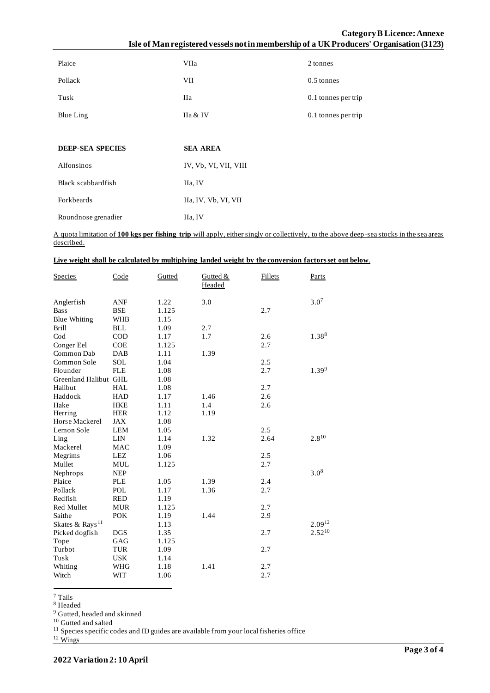# **Category B Licence: Annexe Isle of Man registered vessels not in membership of a UK Producers' Organisation (3123)**

| Plaice                  | VIIa                  | 2 tonnes            |
|-------------------------|-----------------------|---------------------|
| Pollack                 | VII                   | 0.5 tonnes          |
| Tusk                    | <b>IIa</b>            | 0.1 tonnes per trip |
| Blue Ling               | IIa & IV              | 0.1 tonnes per trip |
|                         |                       |                     |
| <b>DEEP-SEA SPECIES</b> | <b>SEA AREA</b>       |                     |
| Alfonsinos              | IV, Vb, VI, VII, VIII |                     |
| Black scabbardfish      | IIa, IV               |                     |
| Forkbeards              | IIa, IV, Vb, VI, VII  |                     |
| Roundnose grenadier     | IIa, IV               |                     |

A quota limitation of **100 kgs per fishing trip** will apply, either singly or collectively, to the above deep-sea stocks in the sea areas described.

| Live weight shall be calculated by multiplying landed weight by the conversion factors set out below. |
|-------------------------------------------------------------------------------------------------------|
|-------------------------------------------------------------------------------------------------------|

| <b>Species</b>              | Code         | Gutted | Gutted &<br>Headed | Fillets | Parts       |
|-----------------------------|--------------|--------|--------------------|---------|-------------|
| Anglerfish                  | ANF          | 1.22   | 3.0                |         | $3.0^{7}$   |
| <b>Bass</b>                 | <b>BSE</b>   | 1.125  |                    | 2.7     |             |
| <b>Blue Whiting</b>         | <b>WHB</b>   | 1.15   |                    |         |             |
| <b>Brill</b>                | <b>BLL</b>   | 1.09   | 2.7                |         |             |
| $\mathrm{Cod}$              | $\rm COD$    | 1.17   | 1.7                | 2.6     | $1.38^{8}$  |
| Conger Eel                  | <b>COE</b>   | 1.125  |                    | 2.7     |             |
| Common Dab                  | <b>DAB</b>   | 1.11   | 1.39               |         |             |
| Common Sole                 | <b>SOL</b>   | 1.04   |                    | 2.5     |             |
| Flounder                    | <b>FLE</b>   | 1.08   |                    | 2.7     | $1.39^{9}$  |
| Greenland Halibut GHL       |              | 1.08   |                    |         |             |
| Halibut                     | <b>HAL</b>   | 1.08   |                    | 2.7     |             |
| Haddock                     | <b>HAD</b>   | 1.17   | 1.46               | 2.6     |             |
| Hake                        | <b>HKE</b>   | 1.11   | 1.4                | 2.6     |             |
| Herring                     | <b>HER</b>   | 1.12   | 1.19               |         |             |
| Horse Mackerel              | JAX          | 1.08   |                    |         |             |
| Lemon Sole                  | <b>LEM</b>   | 1.05   |                    | 2.5     |             |
| Ling                        | LIN          | 1.14   | 1.32               | 2.64    | $2.8^{10}$  |
| Mackerel                    | <b>MAC</b>   | 1.09   |                    |         |             |
| Megrims                     | <b>LEZ</b>   | 1.06   |                    | 2.5     |             |
| Mullet                      | MUL          | 1.125  |                    | 2.7     |             |
| Nephrops                    | <b>NEP</b>   |        |                    |         | $3.0^{8}$   |
| Plaice                      | <b>PLE</b>   | 1.05   | 1.39               | 2.4     |             |
| Pollack                     | <b>POL</b>   | 1.17   | 1.36               | 2.7     |             |
| Redfish                     | <b>RED</b>   | 1.19   |                    |         |             |
| Red Mullet                  | <b>MUR</b>   | 1.125  |                    | 2.7     |             |
| Saithe                      | <b>POK</b>   | 1.19   | 1.44               | 2.9     |             |
| Skates & Rays <sup>11</sup> |              | 1.13   |                    |         | $2.09^{12}$ |
| Picked dogfish              | $_{\rm DGS}$ | 1.35   |                    | 2.7     | $2.52^{10}$ |
| Tope                        | GAG          | 1.125  |                    |         |             |
| Turbot                      | <b>TUR</b>   | 1.09   |                    | 2.7     |             |
| Tusk                        | <b>USK</b>   | 1.14   |                    |         |             |
| Whiting                     | <b>WHG</b>   | 1.18   | 1.41               | 2.7     |             |
| Witch                       | <b>WIT</b>   | 1.06   |                    | 2.7     |             |

<sup>7</sup> Tails

<sup>8</sup> Headed

<sup>9</sup> Gutted, headed and skinned

<sup>10</sup> Gutted and salted

 $11$  Species specific codes and ID guides are available from your local fisheries office

<sup>12</sup> Wings